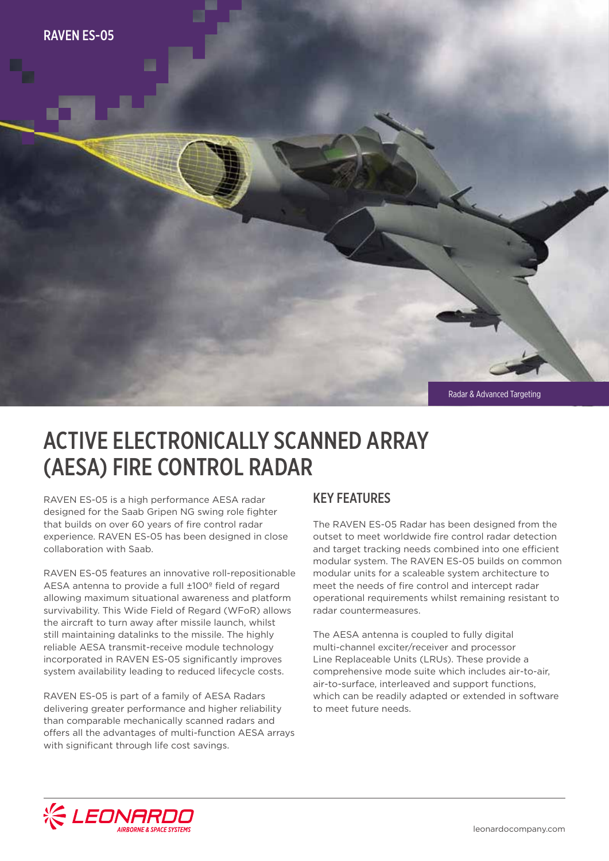

# ACTIVE ELECTRONICALLY SCANNED ARRAY (AESA) FIRE CONTROL RADAR

RAVEN ES-05 is a high performance AESA radar designed for the Saab Gripen NG swing role fighter that builds on over 60 years of fire control radar experience. RAVEN ES-05 has been designed in close collaboration with Saab.

RAVEN ES-05 features an innovative roll-repositionable AESA antenna to provide a full ±100º field of regard allowing maximum situational awareness and platform survivability. This Wide Field of Regard (WFoR) allows the aircraft to turn away after missile launch, whilst still maintaining datalinks to the missile. The highly reliable AESA transmit-receive module technology incorporated in RAVEN ES-05 significantly improves system availability leading to reduced lifecycle costs.

RAVEN ES-05 is part of a family of AESA Radars delivering greater performance and higher reliability than comparable mechanically scanned radars and offers all the advantages of multi-function AESA arrays with significant through life cost savings.

### KEY FEATURES

The RAVEN ES-05 Radar has been designed from the outset to meet worldwide fire control radar detection and target tracking needs combined into one efficient modular system. The RAVEN ES-05 builds on common modular units for a scaleable system architecture to meet the needs of fire control and intercept radar operational requirements whilst remaining resistant to radar countermeasures.

The AESA antenna is coupled to fully digital multi-channel exciter/receiver and processor Line Replaceable Units (LRUs). These provide a comprehensive mode suite which includes air-to-air, air-to-surface, interleaved and support functions, which can be readily adapted or extended in software to meet future needs.